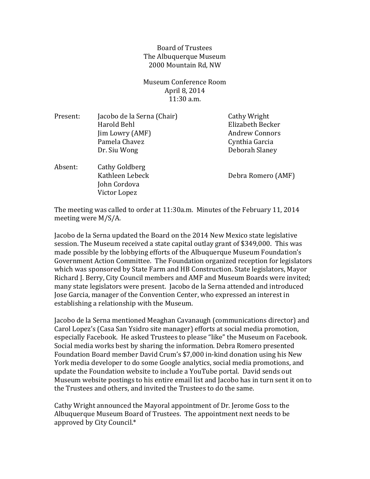Board of Trustees The Albuquerque Museum 2000 Mountain Rd, NW

Museum Conference Room April 8, 2014 11:30 a.m.

| Present: | Jacobo de la Serna (Chair)<br>Harold Behl<br>Jim Lowry (AMF)<br>Pamela Chavez<br>Dr. Siu Wong | Cathy Wright<br>Elizabeth Becker<br><b>Andrew Connors</b><br>Cynthia Garcia<br>Deborah Slaney |
|----------|-----------------------------------------------------------------------------------------------|-----------------------------------------------------------------------------------------------|
| Absent:  | Cathy Goldberg<br>Kathleen Lebeck<br>John Cordova<br>Victor Lopez                             | Debra Romero (AMF)                                                                            |

The meeting was called to order at 11:30a.m. Minutes of the February 11, 2014 meeting were M/S/A.

Jacobo de la Serna updated the Board on the 2014 New Mexico state legislative session. The Museum received a state capital outlay grant of \$349,000. This was made possible by the lobbying efforts of the Albuquerque Museum Foundation's Government Action Committee. The Foundation organized reception for legislators which was sponsored by State Farm and HB Construction. State legislators, Mayor Richard J. Berry, City Council members and AMF and Museum Boards were invited; many state legislators were present. Jacobo de la Serna attended and introduced Jose Garcia, manager of the Convention Center, who expressed an interest in establishing a relationship with the Museum.

Jacobo de la Serna mentioned Meaghan Cavanaugh (communications director) and Carol Lopez's (Casa San Ysidro site manager) efforts at social media promotion, especially Facebook. He asked Trustees to please "like" the Museum on Facebook. Social media works best by sharing the information. Debra Romero presented Foundation Board member David Crum's \$7,000 in-kind donation using his New York media developer to do some Google analytics, social media promotions, and update the Foundation website to include a YouTube portal. David sends out Museum website postings to his entire email list and Jacobo has in turn sent it on to the Trustees and others, and invited the Trustees to do the same.

Cathy Wright announced the Mayoral appointment of Dr. Jerome Goss to the Albuquerque Museum Board of Trustees. The appointment next needs to be approved by City Council.\*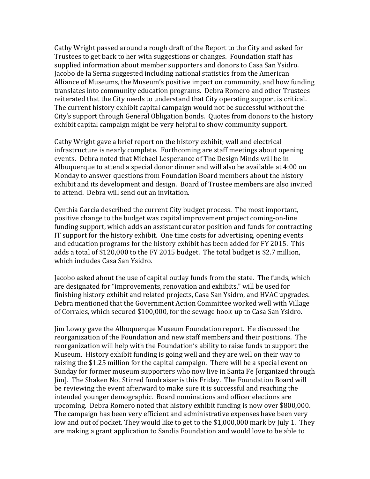Cathy Wright passed around a rough draft of the Report to the City and asked for Trustees to get back to her with suggestions or changes. Foundation staff has supplied information about member supporters and donors to Casa San Ysidro. Jacobo de la Serna suggested including national statistics from the American Alliance of Museums, the Museum's positive impact on community, and how funding translates into community education programs. Debra Romero and other Trustees reiterated that the City needs to understand that City operating support is critical. The current history exhibit capital campaign would not be successful without the City's support through General Obligation bonds. Quotes from donors to the history exhibit capital campaign might be very helpful to show community support.

Cathy Wright gave a brief report on the history exhibit; wall and electrical infrastructure is nearly complete. Forthcoming are staff meetings about opening events. Debra noted that Michael Lesperance of The Design Minds will be in Albuquerque to attend a special donor dinner and will also be available at 4:00 on Monday to answer questions from Foundation Board members about the history exhibit and its development and design. Board of Trustee members are also invited to attend. Debra will send out an invitation.

Cynthia Garcia described the current City budget process. The most important, positive change to the budget was capital improvement project coming-on-line funding support, which adds an assistant curator position and funds for contracting IT support for the history exhibit. One time costs for advertising, opening events and education programs for the history exhibit has been added for FY 2015. This adds a total of \$120,000 to the FY 2015 budget. The total budget is \$2.7 million, which includes Casa San Ysidro.

Jacobo asked about the use of capital outlay funds from the state. The funds, which are designated for "improvements, renovation and exhibits," will be used for finishing history exhibit and related projects, Casa San Ysidro, and HVAC upgrades. Debra mentioned that the Government Action Committee worked well with Village of Corrales, which secured \$100,000, for the sewage hook-up to Casa San Ysidro.

Jim Lowry gave the Albuquerque Museum Foundation report. He discussed the reorganization of the Foundation and new staff members and their positions. The reorganization will help with the Foundation's ability to raise funds to support the Museum. History exhibit funding is going well and they are well on their way to raising the \$1.25 million for the capital campaign. There will be a special event on Sunday for former museum supporters who now live in Santa Fe [organized through Jim]. The Shaken Not Stirred fundraiser is this Friday. The Foundation Board will be reviewing the event afterward to make sure it is successful and reaching the intended younger demographic. Board nominations and officer elections are upcoming. Debra Romero noted that history exhibit funding is now over \$800,000. The campaign has been very efficient and administrative expenses have been very low and out of pocket. They would like to get to the \$1,000,000 mark by July 1. They are making a grant application to Sandia Foundation and would love to be able to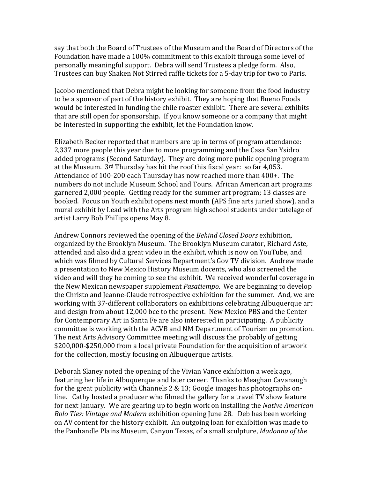say that both the Board of Trustees of the Museum and the Board of Directors of the Foundation have made a 100% commitment to this exhibit through some level of personally meaningful support. Debra will send Trustees a pledge form. Also, Trustees can buy Shaken Not Stirred raffle tickets for a 5-day trip for two to Paris.

Jacobo mentioned that Debra might be looking for someone from the food industry to be a sponsor of part of the history exhibit. They are hoping that Bueno Foods would be interested in funding the chile roaster exhibit. There are several exhibits that are still open for sponsorship. If you know someone or a company that might be interested in supporting the exhibit, let the Foundation know.

Elizabeth Becker reported that numbers are up in terms of program attendance: 2,337 more people this year due to more programming and the Casa San Ysidro added programs (Second Saturday). They are doing more public opening program at the Museum. 3rd Thursday has hit the roof this fiscal year: so far 4,053. Attendance of 100-200 each Thursday has now reached more than 400+. The numbers do not include Museum School and Tours. African American art programs garnered 2,000 people. Getting ready for the summer art program; 13 classes are booked. Focus on Youth exhibit opens next month (APS fine arts juried show), and a mural exhibit by Lead with the Arts program high school students under tutelage of artist Larry Bob Phillips opens May 8.

Andrew Connors reviewed the opening of the *Behind Closed Doors* exhibition, organized by the Brooklyn Museum. The Brooklyn Museum curator, Richard Aste, attended and also did a great video in the exhibit, which is now on YouTube, and which was filmed by Cultural Services Department's Gov TV division. Andrew made a presentation to New Mexico History Museum docents, who also screened the video and will they be coming to see the exhibit. We received wonderful coverage in the New Mexican newspaper supplement *Pasatiempo*. We are beginning to develop the Christo and Jeanne-Claude retrospective exhibition for the summer. And, we are working with 37-different collaborators on exhibitions celebrating Albuquerque art and design from about 12,000 bce to the present. New Mexico PBS and the Center for Contemporary Art in Santa Fe are also interested in participating. A publicity committee is working with the ACVB and NM Department of Tourism on promotion. The next Arts Advisory Committee meeting will discuss the probably of getting \$200,000-\$250,000 from a local private Foundation for the acquisition of artwork for the collection, mostly focusing on Albuquerque artists.

Deborah Slaney noted the opening of the Vivian Vance exhibition a week ago, featuring her life in Albuquerque and later career. Thanks to Meaghan Cavanaugh for the great publicity with Channels 2 & 13; Google images has photographs online. Cathy hosted a producer who filmed the gallery for a travel TV show feature for next January. We are gearing up to begin work on installing the *Native American Bolo Ties: Vintage and Modern* exhibition opening June 28. Deb has been working on AV content for the history exhibit. An outgoing loan for exhibition was made to the Panhandle Plains Museum, Canyon Texas, of a small sculpture, *Madonna of the*